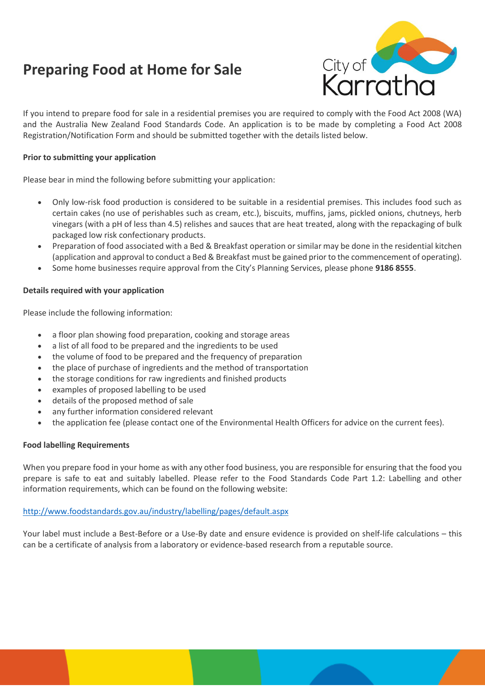# **Preparing Food at Home for Sale**



If you intend to prepare food for sale in a residential premises you are required to comply with the Food Act 2008 (WA) and the Australia New Zealand Food Standards Code. An application is to be made by completing a Food Act 2008 Registration/Notification Form and should be submitted together with the details listed below.

# **Prior to submitting your application**

Please bear in mind the following before submitting your application:

- Only low-risk food production is considered to be suitable in a residential premises. This includes food such as certain cakes (no use of perishables such as cream, etc.), biscuits, muffins, jams, pickled onions, chutneys, herb vinegars (with a pH of less than 4.5) relishes and sauces that are heat treated, along with the repackaging of bulk packaged low risk confectionary products.
- Preparation of food associated with a Bed & Breakfast operation or similar may be done in the residential kitchen (application and approval to conduct a Bed & Breakfast must be gained prior to the commencement of operating).
- Some home businesses require approval from the City's Planning Services, please phone **9186 8555**.

# **Details required with your application**

Please include the following information:

- a floor plan showing food preparation, cooking and storage areas
- a list of all food to be prepared and the ingredients to be used
- the volume of food to be prepared and the frequency of preparation
- the place of purchase of ingredients and the method of transportation
- the storage conditions for raw ingredients and finished products
- examples of proposed labelling to be used
- details of the proposed method of sale
- any further information considered relevant
- the application fee (please contact one of the Environmental Health Officers for advice on the current fees).

#### **Food labelling Requirements**

When you prepare food in your home as with any other food business, you are responsible for ensuring that the food you prepare is safe to eat and suitably labelled. Please refer to the Food Standards Code Part 1.2: Labelling and other information requirements, which can be found on the following website:

#### <http://www.foodstandards.gov.au/industry/labelling/pages/default.aspx>

Your label must include a Best-Before or a Use-By date and ensure evidence is provided on shelf-life calculations – this can be a certificate of analysis from a laboratory or evidence-based research from a reputable source.